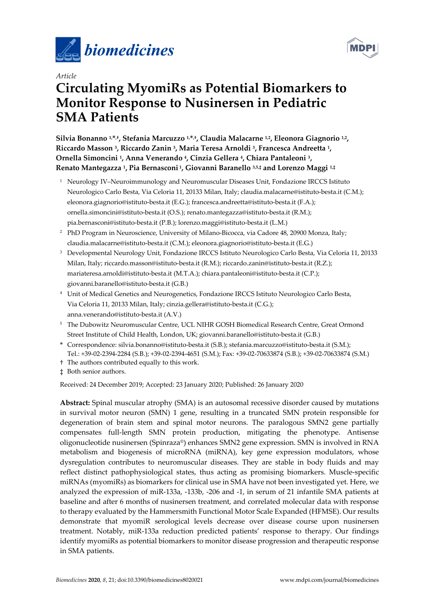



# *Article*  **Circulating MyomiRs as Potential Biomarkers to Monitor Response to Nusinersen in Pediatric SMA Patients**

Silvia Bonanno <sup>1,\*,†</sup>, Stefania Marcuzzo <sup>1,\*,†</sup>, Claudia Malacarne <sup>1,2</sup>, Eleonora Giagnorio <sup>1,2</sup>, **Riccardo Masson 3, Riccardo Zanin 3, Maria Teresa Arnoldi 3, Francesca Andreetta 1, Ornella Simoncini 1, Anna Venerando 4, Cinzia Gellera 4, Chiara Pantaleoni 3, Renato Mantegazza 1, Pia Bernasconi 1, Giovanni Baranello 3,5,‡ and Lorenzo Maggi 1,‡**

- 1 Neurology IV–Neuroimmunology and Neuromuscular Diseases Unit, Fondazione IRCCS Istituto Neurologico Carlo Besta, Via Celoria 11, 20133 Milan, Italy; claudia.malacarne@istituto-besta.it (C.M.); eleonora.giagnorio@istituto-besta.it (E.G.); francesca.andreetta@istituto-besta.it (F.A.); ornella.simoncini@istituto-besta.it (O.S.); renato.mantegazza@istituto-besta.it (R.M.); pia.bernasconi@istituto-besta.it (P.B.); lorenzo.maggi@istituto-besta.it (L.M.)
- <sup>2</sup> PhD Program in Neuroscience, University of Milano-Bicocca, via Cadore 48, 20900 Monza, Italy; claudia.malacarne@istituto-besta.it (C.M.); eleonora.giagnorio@istituto-besta.it (E.G.)
- 3 Developmental Neurology Unit, Fondazione IRCCS Istituto Neurologico Carlo Besta, Via Celoria 11, 20133 Milan, Italy; riccardo.masson@istituto-besta.it (R.M.); riccardo.zanin@istituto-besta.it (R.Z.); mariateresa.arnoldi@istituto-besta.it (M.T.A.); chiara.pantaleoni@istituto-besta.it (C.P.); giovanni.baranello@istituto-besta.it (G.B.)
- 4 Unit of Medical Genetics and Neurogenetics, Fondazione IRCCS Istituto Neurologico Carlo Besta, Via Celoria 11, 20133 Milan, Italy; cinzia.gellera@istituto-besta.it (C.G.); anna.venerando@istituto-besta.it (A.V.)
- 5 The Dubowitz Neuromuscular Centre, UCL NIHR GOSH Biomedical Research Centre, Great Ormond Street Institute of Child Health, London, UK; giovanni.baranello@istituto-besta.it (G.B.)
- **\*** Correspondence: silvia.bonanno@istituto-besta.it (S.B.); stefania.marcuzzo@istituto-besta.it (S.M.); Tel.: +39-02-2394-2284 (S.B.); +39-02-2394-4651 (S.M.); Fax: +39-02-70633874 (S.B.); +39-02-70633874 (S.M.)
- † The authors contributed equally to this work.
- ‡ Both senior authors.

Received: 24 December 2019; Accepted: 23 January 2020; Published: 26 January 2020

**Abstract:** Spinal muscular atrophy (SMA) is an autosomal recessive disorder caused by mutations in survival motor neuron (SMN) 1 gene, resulting in a truncated SMN protein responsible for degeneration of brain stem and spinal motor neurons. The paralogous SMN2 gene partially compensates full-length SMN protein production, mitigating the phenotype. Antisense oligonucleotide nusinersen (Spinraza®) enhances SMN2 gene expression. SMN is involved in RNA metabolism and biogenesis of microRNA (miRNA), key gene expression modulators, whose dysregulation contributes to neuromuscular diseases. They are stable in body fluids and may reflect distinct pathophysiological states, thus acting as promising biomarkers. Muscle-specific miRNAs (myomiRs) as biomarkers for clinical use in SMA have not been investigated yet. Here, we analyzed the expression of miR-133a, -133b, -206 and -1, in serum of 21 infantile SMA patients at baseline and after 6 months of nusinersen treatment, and correlated molecular data with response to therapy evaluated by the Hammersmith Functional Motor Scale Expanded (HFMSE). Our results demonstrate that myomiR serological levels decrease over disease course upon nusinersen treatment. Notably, miR-133a reduction predicted patients' response to therapy. Our findings identify myomiRs as potential biomarkers to monitor disease progression and therapeutic response in SMA patients.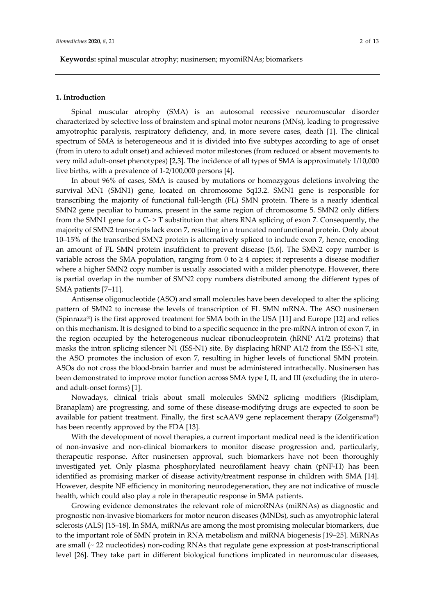#### **1. Introduction**

Spinal muscular atrophy (SMA) is an autosomal recessive neuromuscular disorder characterized by selective loss of brainstem and spinal motor neurons (MNs), leading to progressive amyotrophic paralysis, respiratory deficiency, and, in more severe cases, death [1]. The clinical spectrum of SMA is heterogeneous and it is divided into five subtypes according to age of onset (from in utero to adult onset) and achieved motor milestones (from reduced or absent movements to very mild adult-onset phenotypes) [2,3]. The incidence of all types of SMA is approximately 1/10,000 live births, with a prevalence of 1-2/100,000 persons [4].

In about 96% of cases, SMA is caused by mutations or homozygous deletions involving the survival MN1 (SMN1) gene, located on chromosome 5q13.2. SMN1 gene is responsible for transcribing the majority of functional full-length (FL) SMN protein. There is a nearly identical SMN2 gene peculiar to humans, present in the same region of chromosome 5. SMN2 only differs from the SMN1 gene for a C- > T substitution that alters RNA splicing of exon 7. Consequently, the majority of SMN2 transcripts lack exon 7, resulting in a truncated nonfunctional protein. Only about 10–15% of the transcribed SMN2 protein is alternatively spliced to include exon 7, hence, encoding an amount of FL SMN protein insufficient to prevent disease [5,6]. The SMN2 copy number is variable across the SMA population, ranging from  $0$  to  $\geq 4$  copies; it represents a disease modifier where a higher SMN2 copy number is usually associated with a milder phenotype. However, there is partial overlap in the number of SMN2 copy numbers distributed among the different types of SMA patients [7–11].

Antisense oligonucleotide (ASO) and small molecules have been developed to alter the splicing pattern of SMN2 to increase the levels of transcription of FL SMN mRNA. The ASO nusinersen (Spinraza®) is the first approved treatment for SMA both in the USA [11] and Europe [12] and relies on this mechanism. It is designed to bind to a specific sequence in the pre-mRNA intron of exon 7, in the region occupied by the heterogeneous nuclear ribonucleoprotein (hRNP A1/2 proteins) that masks the intron splicing silencer N1 (ISS-N1) site. By displacing hRNP A1/2 from the ISS-N1 site, the ASO promotes the inclusion of exon 7, resulting in higher levels of functional SMN protein. ASOs do not cross the blood-brain barrier and must be administered intrathecally. Nusinersen has been demonstrated to improve motor function across SMA type I, II, and III (excluding the in uteroand adult-onset forms) [1].

Nowadays, clinical trials about small molecules SMN2 splicing modifiers (Risdiplam, Branaplam) are progressing, and some of these disease-modifying drugs are expected to soon be available for patient treatment. Finally, the first scAAV9 gene replacement therapy (Zolgensma®) has been recently approved by the FDA [13].

With the development of novel therapies, a current important medical need is the identification of non-invasive and non-clinical biomarkers to monitor disease progression and, particularly, therapeutic response. After nusinersen approval, such biomarkers have not been thoroughly investigated yet. Only plasma phosphorylated neurofilament heavy chain (pNF-H) has been identified as promising marker of disease activity/treatment response in children with SMA [14]. However, despite NF efficiency in monitoring neurodegeneration, they are not indicative of muscle health, which could also play a role in therapeutic response in SMA patients.

Growing evidence demonstrates the relevant role of microRNAs (miRNAs) as diagnostic and prognostic non-invasive biomarkers for motor neuron diseases (MNDs), such as amyotrophic lateral sclerosis (ALS) [15–18]. In SMA, miRNAs are among the most promising molecular biomarkers, due to the important role of SMN protein in RNA metabolism and miRNA biogenesis [19–25]. MiRNAs are small (~ 22 nucleotides) non-coding RNAs that regulate gene expression at post-transcriptional level [26]. They take part in different biological functions implicated in neuromuscular diseases,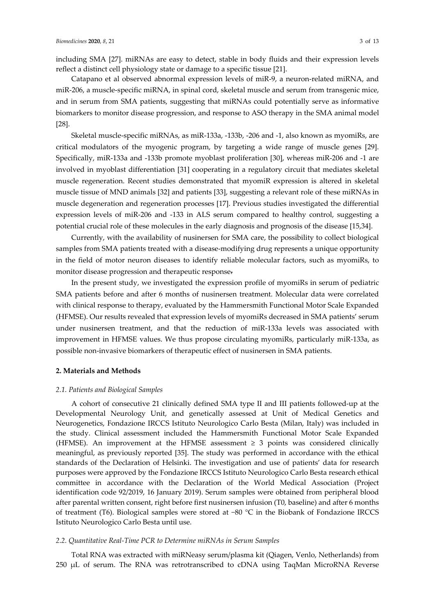including SMA [27]. miRNAs are easy to detect, stable in body fluids and their expression levels reflect a distinct cell physiology state or damage to a specific tissue [21].

Catapano et al observed abnormal expression levels of miR-9, a neuron-related miRNA, and miR-206, a muscle-specific miRNA, in spinal cord, skeletal muscle and serum from transgenic mice, and in serum from SMA patients, suggesting that miRNAs could potentially serve as informative biomarkers to monitor disease progression, and response to ASO therapy in the SMA animal model [28].

Skeletal muscle-specific miRNAs, as miR-133a, -133b, -206 and -1, also known as myomiRs, are critical modulators of the myogenic program, by targeting a wide range of muscle genes [29]. Specifically, miR-133a and -133b promote myoblast proliferation [30], whereas miR-206 and -1 are involved in myoblast differentiation [31] cooperating in a regulatory circuit that mediates skeletal muscle regeneration. Recent studies demonstrated that myomiR expression is altered in skeletal muscle tissue of MND animals [32] and patients [33], suggesting a relevant role of these miRNAs in muscle degeneration and regeneration processes [17]. Previous studies investigated the differential expression levels of miR-206 and -133 in ALS serum compared to healthy control, suggesting a potential crucial role of these molecules in the early diagnosis and prognosis of the disease [15,34].

Currently, with the availability of nusinersen for SMA care, the possibility to collect biological samples from SMA patients treated with a disease-modifying drug represents a unique opportunity in the field of motor neuron diseases to identify reliable molecular factors, such as myomiRs, to monitor disease progression and therapeutic response.

In the present study, we investigated the expression profile of myomiRs in serum of pediatric SMA patients before and after 6 months of nusinersen treatment. Molecular data were correlated with clinical response to therapy, evaluated by the Hammersmith Functional Motor Scale Expanded (HFMSE). Our results revealed that expression levels of myomiRs decreased in SMA patients' serum under nusinersen treatment, and that the reduction of miR-133a levels was associated with improvement in HFMSE values. We thus propose circulating myomiRs, particularly miR-133a, as possible non-invasive biomarkers of therapeutic effect of nusinersen in SMA patients.

# **2. Materials and Methods**

#### *2.1. Patients and Biological Samples*

A cohort of consecutive 21 clinically defined SMA type II and III patients followed-up at the Developmental Neurology Unit, and genetically assessed at Unit of Medical Genetics and Neurogenetics, Fondazione IRCCS Istituto Neurologico Carlo Besta (Milan, Italy) was included in the study. Clinical assessment included the Hammersmith Functional Motor Scale Expanded (HFMSE). An improvement at the HFMSE assessment  $\geq$  3 points was considered clinically meaningful, as previously reported [35]. The study was performed in accordance with the ethical standards of the Declaration of Helsinki. The investigation and use of patients' data for research purposes were approved by the Fondazione IRCCS Istituto Neurologico Carlo Besta research ethical committee in accordance with the Declaration of the World Medical Association (Project identification code 92/2019, 16 January 2019). Serum samples were obtained from peripheral blood after parental written consent, right before first nusinersen infusion (T0, baseline) and after 6 months of treatment (T6). Biological samples were stored at −80 °C in the Biobank of Fondazione IRCCS Istituto Neurologico Carlo Besta until use.

#### *2.2. Quantitative Real-Time PCR to Determine miRNAs in Serum Samples*

Total RNA was extracted with miRNeasy serum/plasma kit (Qiagen, Venlo, Netherlands) from 250 µL of serum. The RNA was retrotranscribed to cDNA using TaqMan MicroRNA Reverse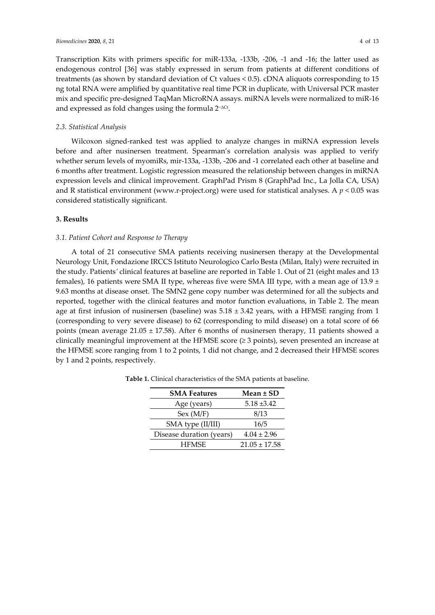Transcription Kits with primers specific for miR-133a, -133b, -206, -1 and -16; the latter used as endogenous control [36] was stably expressed in serum from patients at different conditions of treatments (as shown by standard deviation of Ct values < 0.5). cDNA aliquots corresponding to 15 ng total RNA were amplified by quantitative real time PCR in duplicate, with Universal PCR master mix and specific pre-designed TaqMan MicroRNA assays. miRNA levels were normalized to miR-16 and expressed as fold changes using the formula 2−ΔCt.

#### *2.3. Statistical Analysis*

Wilcoxon signed-ranked test was applied to analyze changes in miRNA expression levels before and after nusinersen treatment. Spearman's correlation analysis was applied to verify whether serum levels of myomiRs, mir-133a, -133b, -206 and -1 correlated each other at baseline and 6 months after treatment. Logistic regression measured the relationship between changes in miRNA expression levels and clinical improvement. GraphPad Prism 8 (GraphPad Inc., La Jolla CA, USA) and R statistical environment (www.r-project.org) were used for statistical analyses. A  $p < 0.05$  was considered statistically significant.

#### **3. Results**

### *3.1. Patient Cohort and Response to Therapy*

A total of 21 consecutive SMA patients receiving nusinersen therapy at the Developmental Neurology Unit, Fondazione IRCCS Istituto Neurologico Carlo Besta (Milan, Italy) were recruited in the study. Patients*'* clinical features at baseline are reported in Table 1. Out of 21 (eight males and 13 females), 16 patients were SMA II type, whereas five were SMA III type, with a mean age of 13.9 *±*  9.63 months at disease onset. The SMN2 gene copy number was determined for all the subjects and reported, together with the clinical features and motor function evaluations, in Table 2. The mean age at first infusion of nusinersen (baseline) was 5.18 *±* 3.42 years, with a HFMSE ranging from 1 (corresponding to very severe disease) to 62 (corresponding to mild disease) on a total score of 66 points (mean average 21.05 *±* 17.58). After 6 months of nusinersen therapy, 11 patients showed a clinically meaningful improvement at the HFMSE score (*≥* 3 points), seven presented an increase at the HFMSE score ranging from 1 to 2 points, 1 did not change, and 2 decreased their HFMSE scores by 1 and 2 points, respectively.

| <b>SMA Features</b>      | Mean ± SD         |  |  |  |
|--------------------------|-------------------|--|--|--|
| Age (years)              | $5.18 \pm 3.42$   |  |  |  |
| Sex (M/F)                | 8/13              |  |  |  |
| SMA type (II/III)        | 16/5              |  |  |  |
| Disease duration (years) | $4.04 \pm 2.96$   |  |  |  |
| <b>HFMSE</b>             | $21.05 \pm 17.58$ |  |  |  |

**Table 1.** Clinical characteristics of the SMA patients at baseline.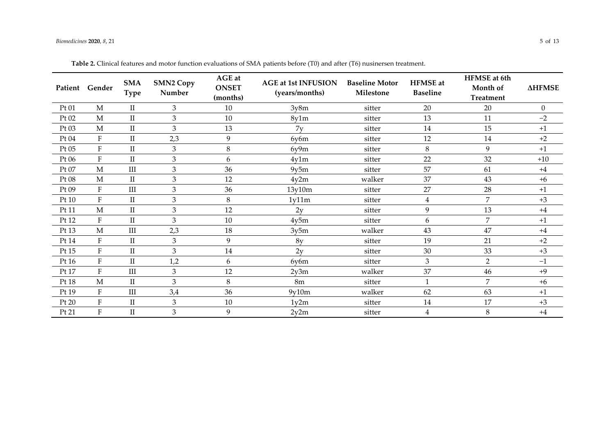# *Biomedicines* **2020**, *8*, 21 5 of 13

|       | Patient Gender | <b>SMA</b><br><b>Type</b> | <b>SMN2 Copy</b><br>Number | AGE at<br><b>ONSET</b><br>(months) | <b>AGE at 1st INFUSION</b><br>(years/months) | <b>Baseline Motor</b><br>Milestone | <b>HFMSE</b> at<br><b>Baseline</b> | <b>HFMSE</b> at 6th<br>Month of<br><b>Treatment</b> | <b>AHFMSE</b>  |
|-------|----------------|---------------------------|----------------------------|------------------------------------|----------------------------------------------|------------------------------------|------------------------------------|-----------------------------------------------------|----------------|
| Pt 01 | $\mathbf M$    | $\rm II$                  | 3                          | 10                                 | 3y8m                                         | sitter                             | 20                                 | 20                                                  | $\overline{0}$ |
| Pt 02 | $\mathbf M$    | $\rm II$                  | $\mathfrak{Z}$             | 10                                 | 8y1m                                         | sitter                             | 13                                 | 11                                                  | $-2$           |
| Pt 03 | $\mathbf M$    | $\rm II$                  | 3                          | 13                                 | 7v                                           | sitter                             | 14                                 | 15                                                  | $+1$           |
| Pt 04 | ${\bf F}$      | $\rm II$                  | 2,3                        | 9                                  | 6v6m                                         | sitter                             | 12                                 | 14                                                  | $+2$           |
| Pt 05 | ${\bf F}$      | $\rm II$                  | 3                          | 8                                  | 6v9m                                         | sitter                             | 8                                  | 9                                                   | $+1$           |
| Pt 06 | ${\bf F}$      | $\rm II$                  | 3                          | 6                                  | 4v1m                                         | sitter                             | 22                                 | 32                                                  | $+10$          |
| Pt 07 | $\mathbf{M}$   | $\rm III$                 | 3                          | 36                                 | 9y5m                                         | sitter                             | 57                                 | 61                                                  | $+4$           |
| Pt 08 | M              | $\rm II$                  | 3                          | 12                                 | 4v2m                                         | walker                             | 37                                 | 43                                                  | $+6$           |
| Pt 09 | ${\bf F}$      | III                       | 3                          | 36                                 | 13y10m                                       | sitter                             | 27                                 | 28                                                  | $+1$           |
| Pt 10 | $\mathbf F$    | $\mathbf{I}$              | 3                          | 8                                  | 1y11m                                        | sitter                             | $\overline{4}$                     | 7                                                   | $+3$           |
| Pt 11 | $\mathbf{M}$   | $\rm II$                  | 3                          | 12                                 | 2y                                           | sitter                             | 9                                  | 13                                                  | $+4$           |
| Pt 12 | ${\bf F}$      | $\rm II$                  | 3                          | 10                                 | 4v5m                                         | sitter                             | 6                                  | $\overline{7}$                                      | $+1$           |
| Pt 13 | $\mathbf M$    | III                       | 2,3                        | 18                                 | 3y5m                                         | walker                             | 43                                 | 47                                                  | $+4$           |
| Pt 14 | ${\bf F}$      | $\rm II$                  | 3                          | 9                                  | 8 <sub>V</sub>                               | sitter                             | 19                                 | 21                                                  | $+2$           |
| Pt 15 | ${\bf F}$      | $\rm II$                  | 3                          | 14                                 | 2v                                           | sitter                             | 30                                 | 33                                                  | $+3$           |
| Pt 16 | $\rm F$        | $\rm II$                  | 1,2                        | 6                                  | 6y6m                                         | sitter                             | 3                                  | $\overline{2}$                                      | $-1$           |
| Pt 17 | ${\bf F}$      | $\rm III$                 | 3                          | 12                                 | 2y3m                                         | walker                             | 37                                 | 46                                                  | $+9$           |
| Pt 18 | $\mathbf{M}$   | $\rm II$                  | 3                          | 8                                  | 8 <sub>m</sub>                               | sitter                             | $\mathbf{1}$                       | 7                                                   | $+6$           |
| Pt 19 | F              | III                       | 3,4                        | 36                                 | 9v10m                                        | walker                             | 62                                 | 63                                                  | $+1$           |
| Pt 20 | ${\bf F}$      | $\rm II$                  | 3                          | 10                                 | 1y2m                                         | sitter                             | 14                                 | 17                                                  | $+3$           |
| Pt 21 | $\rm F$        | $\rm{II}$                 | 3                          | 9                                  | 2y2m                                         | sitter                             | 4                                  | 8                                                   | $+4$           |

**Table 2.** Clinical features and motor function evaluations of SMA patients before (T0) and after (T6) nusinersen treatment.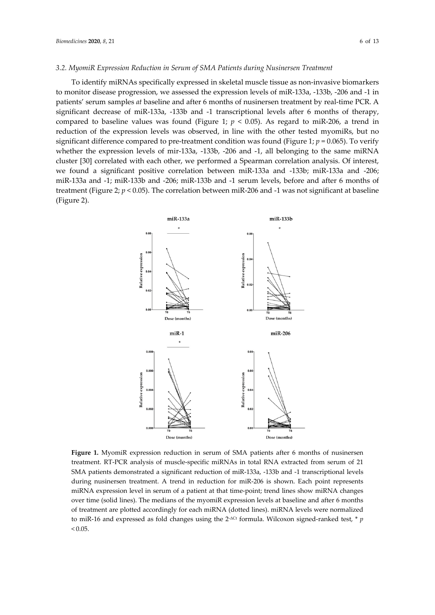# *3.2. MyomiR Expression Reduction in Serum of SMA Patients during Nusinersen Treatment*

To identify miRNAs specifically expressed in skeletal muscle tissue as non-invasive biomarkers to monitor disease progression, we assessed the expression levels of miR-133a, -133b, -206 and -1 in patients' serum samples *at* baseline and after 6 months of nusinersen treatment by real-time PCR. A significant decrease of miR-133a, -133b and -1 transcriptional levels after 6 months of therapy, compared to baseline values was found (Figure 1;  $p < 0.05$ ). As regard to miR-206, a trend in reduction of the expression levels was observed, in line with the other tested myomiRs, but no significant difference compared to pre-treatment condition was found (Figure 1;  $p = 0.065$ ). To verify whether the expression levels of mir-133a, -133b, -206 and -1, all belonging to the same miRNA cluster [30] correlated with each other, we performed a Spearman correlation analysis. Of interest, we found a significant positive correlation between miR-133a and -133b; miR-133a and -206; miR-133a and -1; miR-133b and -206; miR-133b and -1 serum levels, before and after 6 months of treatment (Figure 2;  $p < 0.05$ ). The correlation between miR-206 and -1 was not significant at baseline (Figure 2).



**Figure 1.** MyomiR expression reduction in serum of SMA patients after 6 months of nusinersen treatment. RT-PCR analysis of muscle-specific miRNAs in total RNA extracted from serum of 21 SMA patients demonstrated a significant reduction of miR-133a, -133b and -1 transcriptional levels during nusinersen treatment. A trend in reduction for miR-206 is shown. Each point represents miRNA expression level in serum of a patient at that time-point; trend lines show miRNA changes over time (solid lines). The medians of the myomiR expression levels at baseline and after 6 months of treatment are plotted accordingly for each miRNA (dotted lines). miRNA levels were normalized to miR-16 and expressed as fold changes using the 2<sup>-ΔCt</sup> formula. Wilcoxon signed-ranked test, \* *p*  $< 0.05$ .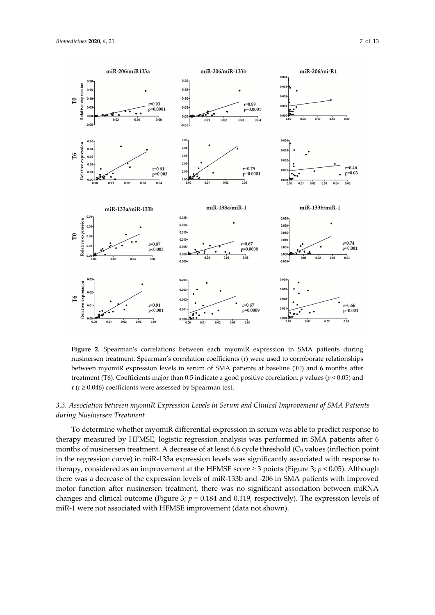

**Figure 2.** Spearman′s correlations between each myomiR expression in SMA patients during nusinersen treatment. Spearman's correlation coefficients (r) were used to corroborate relationships between myomiR expression levels in serum of SMA patients at baseline (T0) and 6 months after treatment (T6). Coefficients major than 0.5 indicate a good positive correlation. *p* values (*p* < 0.05) and r ( $r \ge 0.046$ ) coefficients were assessed by Spearman test.

# *3.3. Association between myomiR Expression Levels in Serum and Clinical Improvement of SMA Patients during Nusinersen Treatment*

To determine whether myomiR differential expression in serum was able to predict response to therapy measured by HFMSE, logistic regression analysis was performed in SMA patients after 6 months of nusinersen treatment. A decrease of at least 6.6 cycle threshold  $(C_t)$  values (inflection point in the regression curve) in miR-133a expression levels was significantly associated with response to therapy, considered as an improvement at the HFMSE score  $\geq$  3 points (Figure 3;  $p$  < 0.05). Although there was a decrease of the expression levels of miR-133b and -206 in SMA patients with improved motor function after nusinersen treatment, there was no significant association between miRNA changes and clinical outcome (Figure 3; *p* = 0.184 and 0.119, respectively). The expression levels of miR-1 were not associated with HFMSE improvement (data not shown).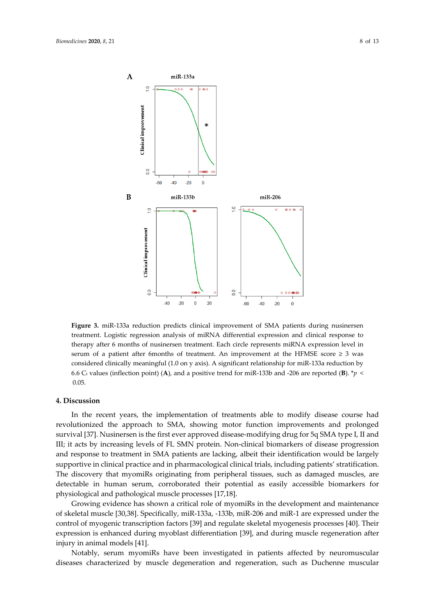



**Figure 3.** miR-133a reduction predicts clinical improvement of SMA patients during nusinersen treatment. Logistic regression analysis of miRNA differential expression and clinical response to therapy after 6 months of nusinersen treatment. Each circle represents miRNA expression level in serum of a patient after 6months of treatment. An improvement at the HFMSE score  $\geq 3$  was considered clinically meaningful (1.0 on y axis). A significant relationship for miR-133a reduction by 6.6 C<sub>t</sub> values (inflection point) (A), and a positive trend for miR-133b and -206 are reported (B).  $* p <$ 0.05.

#### **4. Discussion**

In the recent years, the implementation of treatments able to modify disease course had revolutionized the approach to SMA, showing motor function improvements and prolonged survival [37]. Nusinersen is the first ever approved disease-modifying drug for 5q SMA type I, II and III; it acts by increasing levels of FL SMN protein. Non-clinical biomarkers of disease progression and response to treatment in SMA patients are lacking, albeit their identification would be largely supportive in clinical practice and in pharmacological clinical trials, including patients' stratification. The discovery that myomiRs originating from peripheral tissues, such as damaged muscles, are detectable in human serum, corroborated their potential as easily accessible biomarkers for physiological and pathological muscle processes [17,18].

Growing evidence has shown a critical role of myomiRs in the development and maintenance of skeletal muscle [30,38]. Specifically, miR-133a, -133b, miR-206 and miR-1 are expressed under the control of myogenic transcription factors [39] and regulate skeletal myogenesis processes [40]. Their expression is enhanced during myoblast differentiation [39], and during muscle regeneration after injury in animal models [41].

Notably, serum myomiRs have been investigated in patients affected by neuromuscular diseases characterized by muscle degeneration and regeneration, such as Duchenne muscular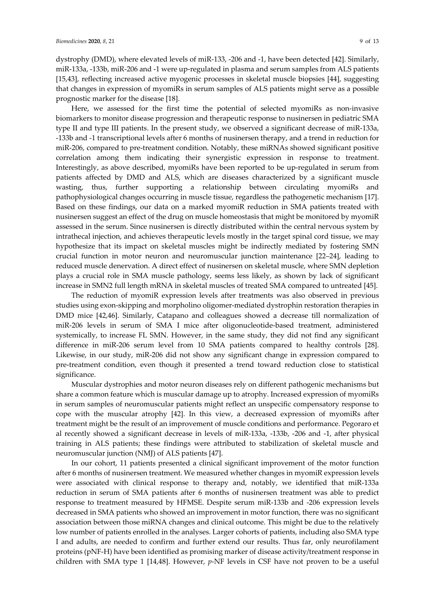dystrophy (DMD), where elevated levels of miR-133, -206 and -1, have been detected [42]. Similarly, miR-133a, -133b, miR-206 and -1 were up-regulated in plasma and serum samples from ALS patients [15,43], reflecting increased active myogenic processes in skeletal muscle biopsies [44], suggesting that changes in expression of myomiRs in serum samples of ALS patients might serve as a possible prognostic marker for the disease [18].

Here, we assessed for the first time the potential of selected myomiRs as non-invasive biomarkers to monitor disease progression and therapeutic response to nusinersen in pediatric SMA type II and type III patients. In the present study, we observed a significant decrease of miR-133a, -133b and -1 transcriptional levels after 6 months of nusinersen therapy, and a trend in reduction for miR-206, compared to pre-treatment condition. Notably, these miRNAs showed significant positive correlation among them indicating their synergistic expression in response to treatment. Interestingly, as above described, myomiRs have been reported to be up-regulated in serum from patients affected by DMD and ALS, which are diseases characterized by a significant muscle wasting, thus, further supporting a relationship between circulating myomiRs and pathophysiological changes occurring in muscle tissue, regardless the pathogenetic mechanism [17]. Based on these findings, our data on a marked myomiR reduction in SMA patients treated with nusinersen suggest an effect of the drug on muscle homeostasis that might be monitored by myomiR assessed in the serum. Since nusinersen is directly distributed within the central nervous system by intrathecal injection, and achieves therapeutic levels mostly in the target spinal cord tissue, we may hypothesize that its impact on skeletal muscles might be indirectly mediated by fostering SMN crucial function in motor neuron and neuromuscular junction maintenance [22–24], leading to reduced muscle denervation. A direct effect of nusinersen on skeletal muscle, where SMN depletion plays a crucial role in SMA muscle pathology, seems less likely, as shown by lack of significant increase in SMN2 full length mRNA in skeletal muscles of treated SMA compared to untreated [45].

The reduction of myomiR expression levels after treatments was also observed in previous studies using exon-skipping and morpholino oligomer-mediated dystrophin restoration therapies in DMD mice [42,46]. Similarly, Catapano and colleagues showed a decrease till normalization of miR-206 levels in serum of SMA I mice after oligonucleotide-based treatment, administered systemically, to increase FL SMN. However, in the same study, they did not find any significant difference in miR-206 serum level from 10 SMA patients compared to healthy controls [28]. Likewise, in our study, miR-206 did not show any significant change in expression compared to pre-treatment condition, even though it presented a trend toward reduction close to statistical significance.

Muscular dystrophies and motor neuron diseases rely on different pathogenic mechanisms but share a common feature which is muscular damage up to atrophy. Increased expression of myomiRs in serum samples of neuromuscular patients might reflect an unspecific compensatory response to cope with the muscular atrophy [42]. In this view, a decreased expression of myomiRs after treatment might be the result of an improvement of muscle conditions and performance. Pegoraro et al recently showed a significant decrease in levels of miR-133a, -133b, -206 and -1, after physical training in ALS patients; these findings were attributed to stabilization of skeletal muscle and neuromuscular junction (NMJ) of ALS patients [47].

In our cohort, 11 patients presented a clinical significant improvement of the motor function after 6 months of nusinersen treatment. We measured whether changes in myomiR expression levels were associated with clinical response to therapy and, notably, we identified that miR-133a reduction in serum of SMA patients after 6 months of nusinersen treatment was able to predict response to treatment measured by HFMSE. Despite serum miR-133b and -206 expression levels decreased in SMA patients who showed an improvement in motor function, there was no significant association between those miRNA changes and clinical outcome. This might be due to the relatively low number of patients enrolled in the analyses. Larger cohorts of patients, including also SMA type I and adults, are needed to confirm and further extend our results. Thus far, only neurofilament proteins (pNF-H) have been identified as promising marker of disease activity/treatment response in children with SMA type 1 [14,48]. However, *p*-NF levels in CSF have not proven to be a useful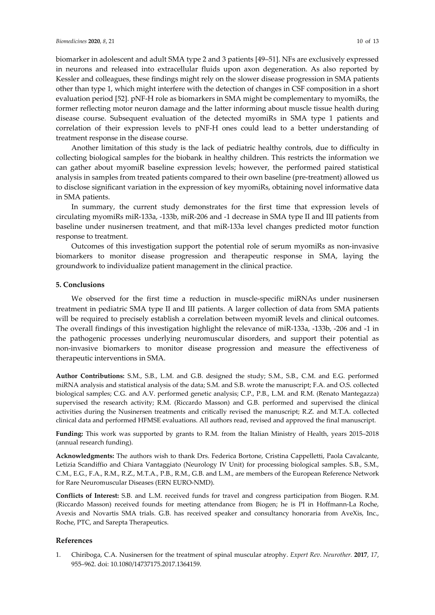biomarker in adolescent and adult SMA type 2 and 3 patients [49–51]. NFs are exclusively expressed in neurons and released into extracellular fluids upon axon degeneration. As also reported by Kessler and colleagues, these findings might rely on the slower disease progression in SMA patients other than type 1, which might interfere with the detection of changes in CSF composition in a short evaluation period [52]. pNF-H role as biomarkers in SMA might be complementary to myomiRs, the former reflecting motor neuron damage and the latter informing about muscle tissue health during disease course. Subsequent evaluation of the detected myomiRs in SMA type 1 patients and correlation of their expression levels to pNF-H ones could lead to a better understanding of treatment response in the disease course.

Another limitation of this study is the lack of pediatric healthy controls, due to difficulty in collecting biological samples for the biobank in healthy children. This restricts the information we can gather about myomiR baseline expression levels; however, the performed paired statistical analysis in samples from treated patients compared to their own baseline (pre-treatment) allowed us to disclose significant variation in the expression of key myomiRs, obtaining novel informative data in SMA patients.

In summary, the current study demonstrates for the first time that expression levels of circulating myomiRs miR-133a, -133b, miR-206 and -1 decrease in SMA type II and III patients from baseline under nusinersen treatment, and that miR-133a level changes predicted motor function response to treatment.

Outcomes of this investigation support the potential role of serum myomiRs as non-invasive biomarkers to monitor disease progression and therapeutic response in SMA, laying the groundwork to individualize patient management in the clinical practice.

## **5. Conclusions**

We observed for the first time a reduction in muscle-specific miRNAs under nusinersen treatment in pediatric SMA type II and III patients. A larger collection of data from SMA patients will be required to precisely establish a correlation between myomiR levels and clinical outcomes. The overall findings of this investigation highlight the relevance of miR-133a, -133b, -206 and -1 in the pathogenic processes underlying neuromuscular disorders, and support their potential as non-invasive biomarkers to monitor disease progression and measure the effectiveness of therapeutic interventions in SMA.

**Author Contributions:** S.M., S.B., L.M. and G.B. designed the study; S.M., S.B., C.M. and E.G. performed miRNA analysis and statistical analysis of the data; S.M. and S.B. wrote the manuscript; F.A. and O.S. collected biological samples; C.G. and A.V. performed genetic analysis; C.P., P.B., L.M. and R.M. (Renato Mantegazza) supervised the research activity; R.M. (Riccardo Masson) and G.B. performed and supervised the clinical activities during the Nusinersen treatments and critically revised the manuscript; R.Z. and M.T.A. collected clinical data and performed HFMSE evaluations. All authors read, revised and approved the final manuscript.

**Funding:** This work was supported by grants to R.M. from the Italian Ministry of Health, years 2015–2018 (annual research funding).

**Acknowledgments:** The authors wish to thank Drs. Federica Bortone, Cristina Cappelletti, Paola Cavalcante, Letizia Scandiffio and Chiara Vantaggiato (Neurology IV Unit) for processing biological samples. S.B., S.M., C.M., E.G., F.A., R.M., R.Z., M.T.A., P.B., R.M., G.B. and L.M., are members of the European Reference Network for Rare Neuromuscular Diseases (ERN EURO-NMD).

**Conflicts of Interest:** S.B. and L.M. received funds for travel and congress participation from Biogen. R.M. (Riccardo Masson) received founds for meeting attendance from Biogen; he is PI in Hoffmann-La Roche, Avexis and Novartis SMA trials. G.B. has received speaker and consultancy honoraria from AveXis, Inc., Roche, PTC, and Sarepta Therapeutics.

#### **References**

1. Chiriboga, C.A. Nusinersen for the treatment of spinal muscular atrophy. *Expert Rev. Neurother.* **2017**, *17*, 955–962. doi: 10.1080/14737175.2017.1364159.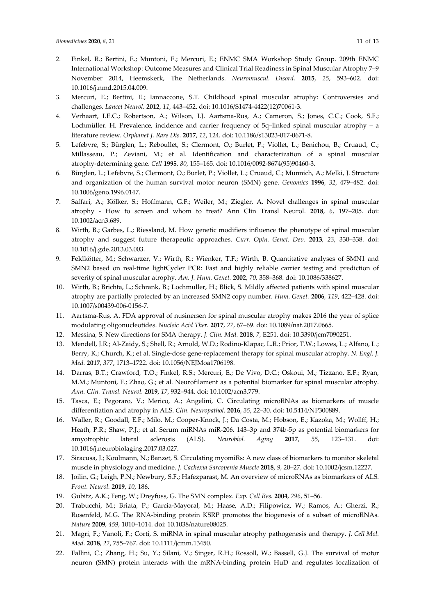- 2. Finkel, R.; Bertini, E.; Muntoni, F.; Mercuri, E.; ENMC SMA Workshop Study Group. 209th ENMC International Workshop: Outcome Measures and Clinical Trial Readiness in Spinal Muscular Atrophy 7–9 November 2014, Heemskerk, The Netherlands. *Neuromuscul. Disord.* **2015**, *25*, 593–602. doi: 10.1016/j.nmd.2015.04.009.
- 3. Mercuri, E.; Bertini, E.; Iannaccone, S.T. Childhood spinal muscular atrophy: Controversies and challenges. *Lancet Neurol.* **2012**, *11*, 443–452. doi: 10.1016/S1474-4422(12)70061-3.
- 4. Verhaart, I.E.C.; Robertson, A.; Wilson, I.J. Aartsma-Rus, A.; Cameron, S.; Jones, C.C.; Cook, S.F.; Lochmüller. H*.* Prevalence, incidence and carrier frequency of 5q–linked spinal muscular atrophy – a literature review. *Orphanet J. Rare Dis.* **2017**, *12*, 124. doi: 10.1186/s13023-017-0671-8.
- 5. Lefebvre, S.; Bürglen, L.; Reboullet, S.; Clermont, O.; Burlet, P.; Viollet, L.; Benichou, B.; Cruaud, C.; Millasseau, P.; Zeviani, M.; et al. Identification and characterization of a spinal muscular atrophy-determining gene. *Cell* **1995**, *80*, 155–165. doi: 10.1016/0092-8674(95)90460-3.
- 6. Bürglen, L.; Lefebvre, S.; Clermont, O.; Burlet, P.; Viollet, L.; Cruaud, C.; Munnich, A.; Melki, J. Structure and organization of the human survival motor neuron (SMN) gene. *Genomics* **1996**, *32*, 479–482. doi: 10.1006/geno.1996.0147.
- 7. Saffari, A.; Kölker, S.; Hoffmann, G.F.; Weiler, M.; Ziegler, A. Novel challenges in spinal muscular atrophy - How to screen and whom to treat? Ann Clin Transl Neurol. **2018**, *6*, 197–205. doi: 10.1002/acn3.689.
- 8. Wirth, B.; Garbes, L.; Riessland, M. How genetic modifiers influence the phenotype of spinal muscular atrophy and suggest future therapeutic approaches. *Curr. Opin. Genet. Dev.* **2013**, *23*, 330–338. doi: 10.1016/j.gde.2013.03.003.
- 9. Feldkötter, M.; Schwarzer, V.; Wirth, R.; Wienker, T.F.; Wirth, B. Quantitative analyses of SMN1 and SMN2 based on real-time lightCycler PCR: Fast and highly reliable carrier testing and prediction of severity of spinal muscular atrophy. *Am. J. Hum. Genet.* **2002**, *70*, 358–368. doi: 10.1086/338627.
- 10. Wirth, B.; Brichta, L.; Schrank, B.; Lochmuller, H.; Blick, S. Mildly affected patients with spinal muscular atrophy are partially protected by an increased SMN2 copy number. *Hum. Genet.* **2006**, *119*, 422–428. doi: 10.1007/s00439-006-0156-7.
- 11. Aartsma-Rus, A. FDA approval of nusinersen for spinal muscular atrophy makes 2016 the year of splice modulating oligonucleotides. *Nucleic Acid Ther.* **2017**, *27*, 67–69. doi: 10.1089/nat.2017.0665.
- 12. Messina, S. New directions for SMA therapy. *J. Clin. Med.* **2018**, *7*, E251. doi: 10.3390/jcm7090251.
- 13. Mendell, J.R.; Al-Zaidy, S.; Shell, R.; Arnold, W.D.; Rodino-Klapac, L.R.; Prior, T.W.; Lowes, L.; Alfano, L.; Berry, K.; Church, K.; et al. Single-dose gene-replacement therapy for spinal muscular atrophy. *N. Engl. J. Med.* **2017**, *377*, 1713–1722. doi: 10.1056/NEJMoa1706198.
- 14. Darras, B.T.; Crawford, T.O.; Finkel, R.S.; Mercuri, E.; De Vivo, D.C.; Oskoui, M.; Tizzano, E.F.; Ryan, M.M.; Muntoni, F.; Zhao, G.; et al. Neurofilament as a potential biomarker for spinal muscular atrophy. *Ann. Clin. Transl. Neurol.* **2019**, *17*, 932–944. doi: 10.1002/acn3.779.
- 15. Tasca, E.; Pegoraro, V.; Merico, A.; Angelini, C. Circulating microRNAs as biomarkers of muscle differentiation and atrophy in ALS. *Clin. Neuropathol.* **2016**, *35*, 22–30. doi: 10.5414/NP300889.
- 16. Waller, R.; Goodall, E.F.; Milo, M.; Cooper-Knock, J.; Da Costa, M.; Hobson, E.; Kazoka, M.; Wollff, H.; Heath, P.R.; Shaw, P.J.; et al. Serum miRNAs miR-206, 143–3p and 374b-5p as potential biomarkers for amyotrophic lateral sclerosis (ALS). *Neurobiol. Aging* **2017**, *55*, 123–131. doi: 10.1016/j.neurobiolaging.2017.03.027.
- 17. Siracusa, J.; Koulmann, N.; Banzet, S. Circulating myomiRs: A new class of biomarkers to monitor skeletal muscle in physiology and medicine. *J. Cachexia Sarcopenia Muscle* **2018**, *9*, 20–27. doi: 10.1002/jcsm.12227.
- 18. Joilin, G.; Leigh, P.N.; Newbury, S.F.; Hafezparast, M. An overview of microRNAs as biomarkers of ALS. *Front. Neurol.* **2019**, *10*, 186.
- 19. Gubitz, A.K.; Feng, W.; Dreyfuss, G. The SMN complex. *Exp. Cell Res.* **2004**, *296*, 51–56.
- 20. Trabucchi, M.; Briata, P.; Garcia-Mayoral, M.; Haase, A.D.; Filipowicz, W.; Ramos, A.; Gherzi, R.; Rosenfeld, M.G. The RNA-binding protein KSRP promotes the biogenesis of a subset of microRNAs. *Nature* **2009**, *459*, 1010–1014. doi: 10.1038/nature08025.
- 21. Magri, F.; Vanoli, F.; Corti, S. miRNA in spinal muscular atrophy pathogenesis and therapy. *J. Cell Mol. Med.* **2018**, *22*, 755–767. doi: 10.1111/jcmm.13450.
- 22. Fallini, C.; Zhang, H.; Su, Y.; Silani, V.; Singer, R.H.; Rossoll, W.; Bassell, G.J. The survival of motor neuron (SMN) protein interacts with the mRNA-binding protein HuD and regulates localization of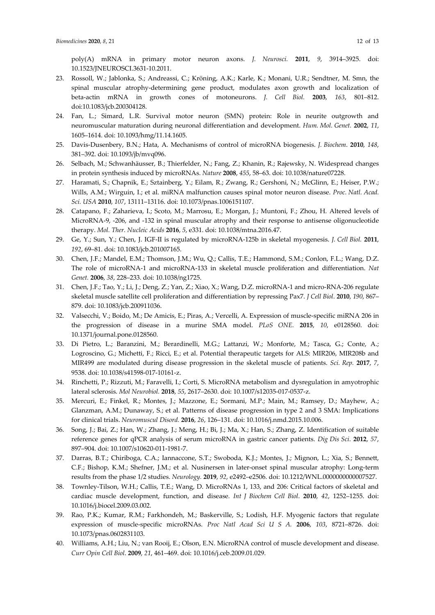poly(A) mRNA in primary motor neuron axons. *J. Neurosci.* **2011**, *9*, 3914–3925. doi: 10.1523/JNEUROSCI.3631-10.2011.

- 23. Rossoll, W.; Jablonka, S.; Andreassi, C.; Kröning, A.K.; Karle, K.; Monani, U.R.; Sendtner, M. Smn, the spinal muscular atrophy-determining gene product, modulates axon growth and localization of beta-actin mRNA in growth cones of motoneurons. *J. Cell Biol.* **2003**, *163*, 801–812. doi:10.1083/jcb.200304128.
- 24. Fan, L.; Simard, L.R. Survival motor neuron (SMN) protein: Role in neurite outgrowth and neuromuscular maturation during neuronal differentiation and development. *Hum. Mol. Genet.* **2002**, *11*, 1605–1614. doi: 10.1093/hmg/11.14.1605.
- 25. Davis-Dusenbery, B.N.; Hata, A. Mechanisms of control of microRNA biogenesis. *J. Biochem*. **2010**, *148*, 381–392. doi: 10.1093/jb/mvq096.
- 26. Selbach, M.; Schwanhäusser, B.; Thierfelder, N.; Fang, Z.; Khanin, R.; Rajewsky, N. Widespread changes in protein synthesis induced by microRNAs. *Nature* **2008**, *455*, 58–63. doi: 10.1038/nature07228.
- 27. Haramati, S.; Chapnik, E.; Sztainberg, Y.; Eilam, R.; Zwang, R.; Gershoni, N.; McGlinn, E.; Heiser, P.W.; Wills, A.M.; Wirguin, I.; et al. miRNA malfunction causes spinal motor neuron disease. *Proc. Natl. Acad. Sci. USA* **2010**, *107*, 13111–13116. doi: 10.1073/pnas.1006151107.
- 28. Catapano, F.; Zaharieva, I.; Scoto, M.; Marrosu, E.; Morgan, J.; Muntoni, F.; Zhou, H. Altered levels of MicroRNA-9, -206, and -132 in spinal muscular atrophy and their response to antisense oligonucleotide therapy. *Mol. Ther. Nucleic Acids* **2016**, *5*, e331. doi: 10.1038/mtna.2016.47.
- 29. Ge, Y.; Sun, Y.; Chen, J. IGF-II is regulated by microRNA-125b in skeletal myogenesis. *J. Cell Biol.* **2011**, *192*, 69–81. doi: 10.1083/jcb.201007165.
- 30. Chen, J.F.; Mandel, E.M.; Thomson, J.M.; Wu, Q.; Callis, T.E.; Hammond, S.M.; Conlon, F.L.; Wang, D.Z. The role of microRNA-1 and microRNA-133 in skeletal muscle proliferation and differentiation. *Nat Genet.* **2006**, *38*, 228–233. doi: 10.1038/ng1725.
- 31. Chen, J.F.; Tao, Y.; Li, J.; Deng, Z.; Yan, Z.; Xiao, X.; Wang, D.Z. microRNA-1 and micro-RNA-206 regulate skeletal muscle satellite cell proliferation and differentiation by repressing Pax7. *J Cell Biol*. **2010**, *190*, 867– 879. doi: 10.1083/jcb.200911036.
- 32. Valsecchi, V.; Boido, M.; De Amicis, E.; Piras, A.; Vercelli, A. Expression of muscle-specific miRNA 206 in the progression of disease in a murine SMA model. *PLoS ONE.* **2015**, *10*, e0128560. doi: 10.1371/journal.pone.0128560.
- 33. Di Pietro, L.; Baranzini, M.; Berardinelli, M.G.; Lattanzi, W.; Monforte, M.; Tasca, G.; Conte, A.; Logroscino, G.; Michetti, F.; Ricci, E.; et al. Potential therapeutic targets for ALS: MIR206, MIR208b and MIR499 are modulated during disease progression in the skeletal muscle of patients. *Sci. Rep.* **2017**, *7*, 9538. doi: 10.1038/s41598-017-10161-z.
- 34. Rinchetti, P.; Rizzuti, M.; Faravelli, I.; Corti, S. MicroRNA metabolism and dysregulation in amyotrophic lateral sclerosis. *Mol Neurobiol.* **2018**, *55*, 2617–2630. doi: 10.1007/s12035-017-0537-z.
- 35. Mercuri, E.; Finkel, R.; Montes, J.; Mazzone, E.; Sormani, M.P.; Main, M.; Ramsey, D.; Mayhew, A.; Glanzman, A.M.; Dunaway, S.; et al. Patterns of disease progression in type 2 and 3 SMA: Implications for clinical trials. *Neuromuscul Disord.* **2016**, *26*, 126–131. doi: 10.1016/j.nmd.2015.10.006.
- 36. Song, J.; Bai, Z.; Han, W.; Zhang, J.; Meng, H.; Bi, J.; Ma, X.; Han, S.; Zhang, Z. Identification of suitable reference genes for qPCR analysis of serum microRNA in gastric cancer patients. *Dig Dis Sci*. **2012**, *57*, 897–904. doi: 10.1007/s10620-011-1981-7.
- 37. Darras, B.T.; Chiriboga, C.A.; Iannaccone, S.T.; Swoboda, K.J.; Montes, J.; Mignon, L.; Xia, S.; Bennett, C.F.; Bishop, K.M.; Shefner, J.M.; et al. Nusinersen in later-onset spinal muscular atrophy: Long-term results from the phase 1/2 studies. *Neurology.* **2019**, *92*, e2492–e2506. doi: 10.1212/WNL.0000000000007527.
- 38. Townley-Tilson, W.H.; Callis, T.E.; Wang, D. MicroRNAs 1, 133, and 206: Critical factors of skeletal and cardiac muscle development, function, and disease. *Int J Biochem Cell Biol*. **2010**, *42*, 1252–1255. doi: 10.1016/j.biocel.2009.03.002.
- 39. Rao, P.K.; Kumar, R.M.; Farkhondeh, M.; Baskerville, S.; Lodish, H.F. Myogenic factors that regulate expression of muscle-specific microRNAs. *Proc Natl Acad Sci U S A.* **2006**, *103*, 8721–8726. doi: 10.1073/pnas.0602831103.
- 40. Williams, A.H.; Liu, N.; van Rooij, E.; Olson, E.N. MicroRNA control of muscle development and disease. *Curr Opin Cell Biol*. **2009**, *21*, 461–469. doi: 10.1016/j.ceb.2009.01.029.